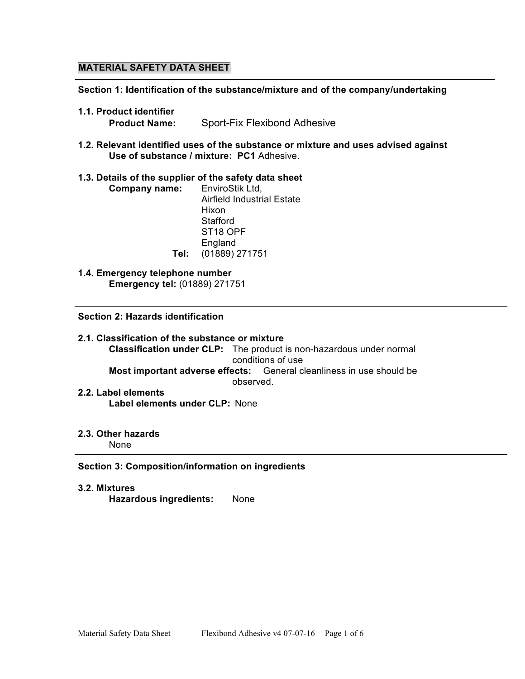# **MATERIAL SAFETY DATA SHEET**

**Section 1: Identification of the substance/mixture and of the company/undertaking**

- **1.1. Product identifier**
	- **Product Name:** Sport-Fix Flexibond Adhesive
- **1.2. Relevant identified uses of the substance or mixture and uses advised against Use of substance / mixture: PC1** Adhesive.

### **1.3. Details of the supplier of the safety data sheet**

- **Company name:** EnviroStik Ltd, Airfield Industrial Estate Hixon **Stafford** ST18 OPF **England Tel:** (01889) 271751
- **1.4. Emergency telephone number Emergency tel:** (01889) 271751

**Section 2: Hazards identification**

- **2.1. Classification of the substance or mixture Classification under CLP:** The product is non-hazardous under normal conditions of use **Most important adverse effects:** General cleanliness in use should be observed.
- **2.2. Label elements Label elements under CLP:** None
- **2.3. Other hazards** None

## **Section 3: Composition/information on ingredients**

**3.2. Mixtures Hazardous ingredients:** None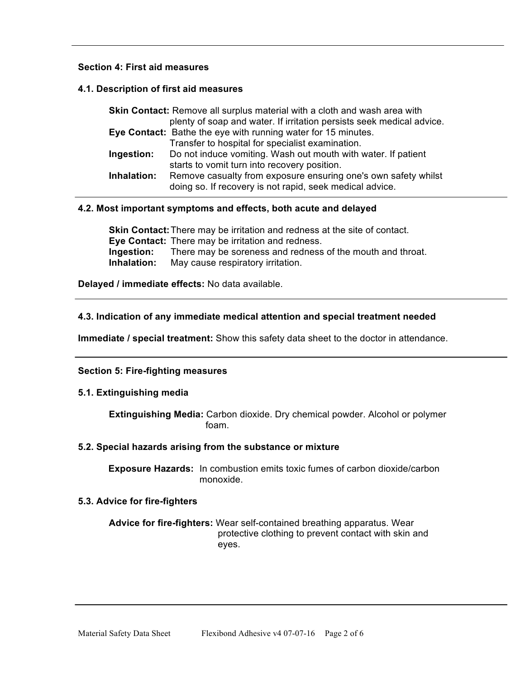# **Section 4: First aid measures**

## **4.1. Description of first aid measures**

| <b>Skin Contact:</b> Remove all surplus material with a cloth and wash area with |                                                                       |  |  |
|----------------------------------------------------------------------------------|-----------------------------------------------------------------------|--|--|
|                                                                                  | plenty of soap and water. If irritation persists seek medical advice. |  |  |
|                                                                                  | Eye Contact: Bathe the eye with running water for 15 minutes.         |  |  |
|                                                                                  | Transfer to hospital for specialist examination.                      |  |  |
| Ingestion:                                                                       | Do not induce vomiting. Wash out mouth with water. If patient         |  |  |
|                                                                                  | starts to vomit turn into recovery position.                          |  |  |
| Inhalation:                                                                      | Remove casualty from exposure ensuring one's own safety whilst        |  |  |
|                                                                                  | doing so. If recovery is not rapid, seek medical advice.              |  |  |

# **4.2. Most important symptoms and effects, both acute and delayed**

**Skin Contact:**There may be irritation and redness at the site of contact. **Eye Contact:** There may be irritation and redness. **Ingestion:** There may be soreness and redness of the mouth and throat. **Inhalation:** May cause respiratory irritation.

**Delayed / immediate effects:** No data available.

# **4.3. Indication of any immediate medical attention and special treatment needed**

**Immediate / special treatment:** Show this safety data sheet to the doctor in attendance.

## **Section 5: Fire-fighting measures**

## **5.1. Extinguishing media**

**Extinguishing Media:** Carbon dioxide. Dry chemical powder. Alcohol or polymer foam.

## **5.2. Special hazards arising from the substance or mixture**

**Exposure Hazards:** In combustion emits toxic fumes of carbon dioxide/carbon monoxide.

## **5.3. Advice for fire-fighters**

**Advice for fire-fighters:** Wear self-contained breathing apparatus. Wear protective clothing to prevent contact with skin and eyes.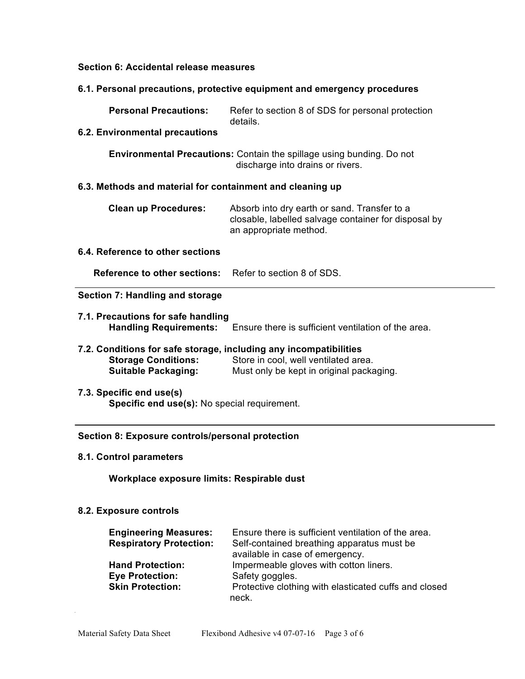### **Section 6: Accidental release measures**

### **6.1. Personal precautions, protective equipment and emergency procedures**

**Personal Precautions:** Refer to section 8 of SDS for personal protection details.

## **6.2. Environmental precautions**

**Environmental Precautions:** Contain the spillage using bunding. Do not discharge into drains or rivers.

## **6.3. Methods and material for containment and cleaning up**

| <b>Clean up Procedures:</b> | Absorb into dry earth or sand. Transfer to a         |
|-----------------------------|------------------------------------------------------|
|                             | closable, labelled salvage container for disposal by |
|                             | an appropriate method.                               |

## **6.4. Reference to other sections**

**Reference to other sections:** Refer to section 8 of SDS.

## **Section 7: Handling and storage**

 $\overline{a}$ 

- **7.1. Precautions for safe handling Handling Requirements:** Ensure there is sufficient ventilation of the area.
- **7.2. Conditions for safe storage, including any incompatibilities Storage Conditions:** Store in cool, well ventilated area. **Suitable Packaging:** Must only be kept in original packaging.
- **7.3. Specific end use(s) Specific end use(s):** No special requirement.

#### **Section 8: Exposure controls/personal protection**

**8.1. Control parameters**

**Workplace exposure limits: Respirable dust**

#### **8.2. Exposure controls**

| <b>Engineering Measures:</b><br><b>Respiratory Protection:</b> | Ensure there is sufficient ventilation of the area.<br>Self-contained breathing apparatus must be<br>available in case of emergency. |
|----------------------------------------------------------------|--------------------------------------------------------------------------------------------------------------------------------------|
| <b>Hand Protection:</b>                                        | Impermeable gloves with cotton liners.                                                                                               |
| <b>Eye Protection:</b>                                         | Safety goggles.                                                                                                                      |
| <b>Skin Protection:</b>                                        | Protective clothing with elasticated cuffs and closed                                                                                |
|                                                                | neck.                                                                                                                                |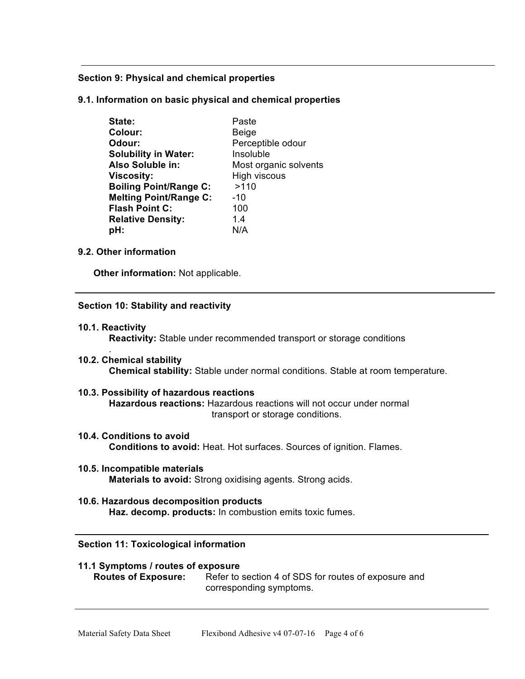## **Section 9: Physical and chemical properties**

**9.1. Information on basic physical and chemical properties**

| State:                        | Paste                 |
|-------------------------------|-----------------------|
| Colour:                       | <b>Beige</b>          |
| Odour:                        | Perceptible odour     |
| <b>Solubility in Water:</b>   | Insoluble             |
| Also Soluble in:              | Most organic solvents |
| <b>Viscosity:</b>             | High viscous          |
| <b>Boiling Point/Range C:</b> | >110                  |
| <b>Melting Point/Range C:</b> | $-10$                 |
| <b>Flash Point C:</b>         | 100                   |
| <b>Relative Density:</b>      | 1.4                   |
| pH:                           | N/A                   |

# **9.2. Other information**

**Other information:** Not applicable.

## **Section 10: Stability and reactivity**

**10.1. Reactivity**

.

**Reactivity:** Stable under recommended transport or storage conditions

- **10.2. Chemical stability Chemical stability:** Stable under normal conditions. Stable at room temperature.
- **10.3. Possibility of hazardous reactions Hazardous reactions:** Hazardous reactions will not occur under normal transport or storage conditions.
- **10.4. Conditions to avoid Conditions to avoid:** Heat. Hot surfaces. Sources of ignition. Flames.
- **10.5. Incompatible materials Materials to avoid:** Strong oxidising agents. Strong acids.
- **10.6. Hazardous decomposition products Haz. decomp. products:** In combustion emits toxic fumes.

## **Section 11: Toxicological information**

# **11.1 Symptoms / routes of exposure**

**Routes of Exposure:** Refer to section 4 of SDS for routes of exposure and corresponding symptoms.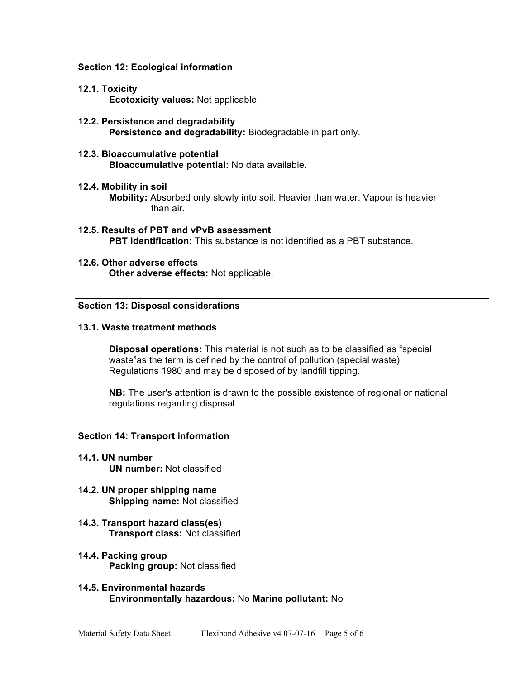### **Section 12: Ecological information**

## **12.1. Toxicity**

**Ecotoxicity values:** Not applicable.

- **12.2. Persistence and degradability Persistence and degradability:** Biodegradable in part only.
- **12.3. Bioaccumulative potential Bioaccumulative potential:** No data available.

#### **12.4. Mobility in soil**

**Mobility:** Absorbed only slowly into soil. Heavier than water. Vapour is heavier than air.

- **12.5. Results of PBT and vPvB assessment PBT identification:** This substance is not identified as a PBT substance.
- **12.6. Other adverse effects Other adverse effects:** Not applicable.

### **Section 13: Disposal considerations**

### **13.1. Waste treatment methods**

**Disposal operations:** This material is not such as to be classified as "special waste"as the term is defined by the control of pollution (special waste) Regulations 1980 and may be disposed of by landfill tipping.

**NB:** The user's attention is drawn to the possible existence of regional or national regulations regarding disposal.

## **Section 14: Transport information**

- **14.1. UN number UN number:** Not classified
- **14.2. UN proper shipping name Shipping name:** Not classified
- **14.3. Transport hazard class(es) Transport class:** Not classified
- **14.4. Packing group Packing group:** Not classified
- **14.5. Environmental hazards Environmentally hazardous:** No **Marine pollutant:** No